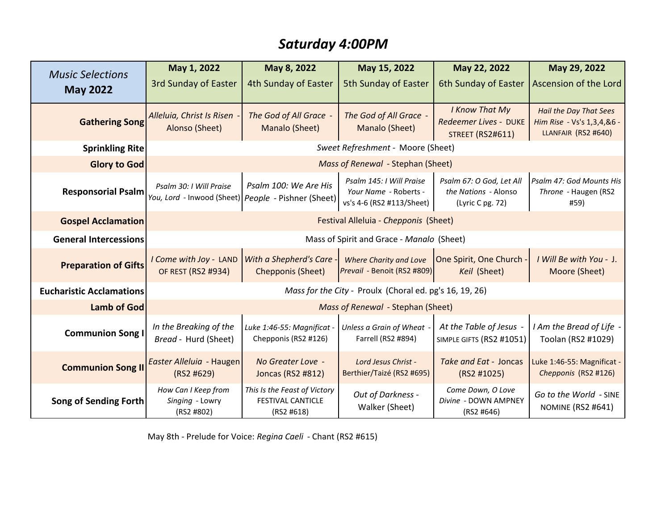## *Saturday 4:00PM*

| <b>Music Selections</b><br><b>May 2022</b> | May 1, 2022                                                                    | May 8, 2022                                                            | May 15, 2022                                                                   | May 22, 2022                                                         | May 29, 2022                                                                       |  |
|--------------------------------------------|--------------------------------------------------------------------------------|------------------------------------------------------------------------|--------------------------------------------------------------------------------|----------------------------------------------------------------------|------------------------------------------------------------------------------------|--|
|                                            | <b>3rd Sunday of Easter</b>                                                    | 4th Sunday of Easter                                                   | <b>5th Sunday of Easter</b>                                                    | 6th Sunday of Easter                                                 | Ascension of the Lord                                                              |  |
| <b>Gathering Song</b>                      | Alleluia, Christ Is Risen<br>Alonso (Sheet)                                    | The God of All Grace -<br>Manalo (Sheet)                               | The God of All Grace -<br>Manalo (Sheet)                                       | I Know That My<br>Redeemer Lives - DUKE<br><b>STREET (RS2#611)</b>   | <b>Hail the Day That Sees</b><br>Him Rise - Vs's 1,3,4,&6 -<br>LLANFAIR (RS2 #640) |  |
| <b>Sprinkling Rite</b>                     | Sweet Refreshment - Moore (Sheet)                                              |                                                                        |                                                                                |                                                                      |                                                                                    |  |
| <b>Glory to God</b>                        | Mass of Renewal - Stephan (Sheet)                                              |                                                                        |                                                                                |                                                                      |                                                                                    |  |
| <b>Responsorial Psalm</b>                  | Psalm 30: I Will Praise<br>You, Lord - Inwood (Sheet) People - Pishner (Sheet) | Psalm 100: We Are His                                                  | Psalm 145: I Will Praise<br>Your Name - Roberts -<br>vs's 4-6 (RS2 #113/Sheet) | Psalm 67: O God, Let All<br>the Nations - Alonso<br>(Lyric C pg. 72) | Psalm 47: God Mounts His<br>Throne - Haugen (RS2<br>#59)                           |  |
| <b>Gospel Acclamation</b>                  | Festival Alleluia - Chepponis (Sheet)                                          |                                                                        |                                                                                |                                                                      |                                                                                    |  |
| <b>General Intercessions</b>               | Mass of Spirit and Grace - Manalo (Sheet)                                      |                                                                        |                                                                                |                                                                      |                                                                                    |  |
| <b>Preparation of Gifts</b>                | I Come with Joy - LAND<br>OF REST (RS2 #934)                                   | With a Shepherd's Care<br>Chepponis (Sheet)                            | <b>Where Charity and Love</b><br>Prevail - Benoit (RS2 #809)                   | One Spirit, One Church<br>Keil (Sheet)                               | I Will Be with You - J.<br>Moore (Sheet)                                           |  |
| <b>Eucharistic Acclamations</b>            | Mass for the City - Proulx (Choral ed. pg's 16, 19, 26)                        |                                                                        |                                                                                |                                                                      |                                                                                    |  |
| <b>Lamb of God</b>                         | Mass of Renewal - Stephan (Sheet)                                              |                                                                        |                                                                                |                                                                      |                                                                                    |  |
| <b>Communion Song I</b>                    | In the Breaking of the<br>Bread - Hurd (Sheet)                                 | Luke 1:46-55: Magnificat -<br>Chepponis (RS2 #126)                     | Unless a Grain of Wheat<br>Farrell (RS2 #894)                                  | At the Table of Jesus -<br>SIMPLE GIFTS (RS2 #1051)                  | I Am the Bread of Life -<br>Toolan (RS2 #1029)                                     |  |
| <b>Communion Song II</b>                   | Easter Alleluia - Haugen<br>(RS2 #629)                                         | No Greater Love -<br>Joncas (RS2 #812)                                 | Lord Jesus Christ -<br>Berthier/Taizé (RS2 #695)                               | Take and Eat - Joncas<br>(RS2 #1025)                                 | Luke 1:46-55: Magnificat -<br>Chepponis (RS2 #126)                                 |  |
| Song of Sending Forth                      | How Can I Keep from<br>Singing - Lowry<br>(RS2 #802)                           | This Is the Feast of Victory<br><b>FESTIVAL CANTICLE</b><br>(RS2 #618) | Out of Darkness -<br>Walker (Sheet)                                            | Come Down, O Love<br>Divine - DOWN AMPNEY<br>(RS2 #646)              | Go to the World - SINE<br><b>NOMINE (RS2 #641)</b>                                 |  |

May 8th - Prelude for Voice: *Regina Caeli* - Chant (RS2 #615)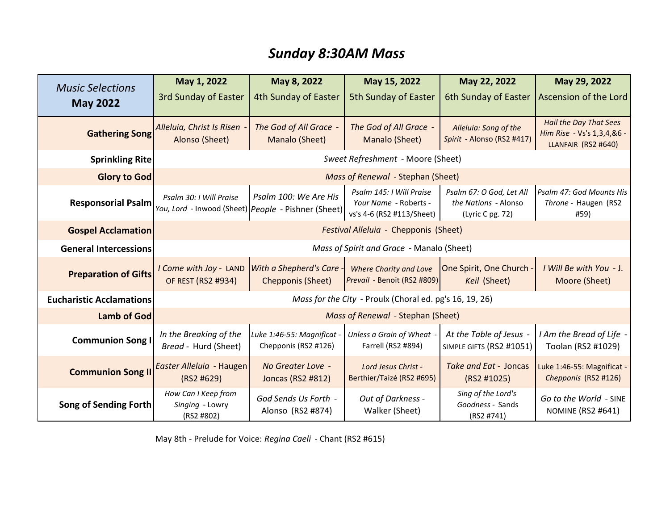## *Sunday 8:30AM Mass*

| <b>Music Selections</b><br><b>May 2022</b> | May 1, 2022                                                                    | May 8, 2022                                        | May 15, 2022                                                                   | May 22, 2022                                                         | May 29, 2022                                                                       |
|--------------------------------------------|--------------------------------------------------------------------------------|----------------------------------------------------|--------------------------------------------------------------------------------|----------------------------------------------------------------------|------------------------------------------------------------------------------------|
|                                            | <b>3rd Sunday of Easter</b>                                                    | 4th Sunday of Easter                               | <b>5th Sunday of Easter</b>                                                    | 6th Sunday of Easter                                                 | Ascension of the Lord                                                              |
| <b>Gathering Song</b>                      | Alleluia, Christ Is Risen<br>Alonso (Sheet)                                    | The God of All Grace -<br>Manalo (Sheet)           | The God of All Grace -<br>Manalo (Sheet)                                       | Alleluia: Song of the<br>Spirit - Alonso (RS2 #417)                  | <b>Hail the Day That Sees</b><br>Him Rise - Vs's 1,3,4,&6 -<br>LLANFAIR (RS2 #640) |
| <b>Sprinkling Rite</b>                     | Sweet Refreshment - Moore (Sheet)                                              |                                                    |                                                                                |                                                                      |                                                                                    |
| <b>Glory to God</b>                        | Mass of Renewal - Stephan (Sheet)                                              |                                                    |                                                                                |                                                                      |                                                                                    |
| <b>Responsorial Psalm</b>                  | Psalm 30: I Will Praise<br>You, Lord - Inwood (Sheet) People - Pishner (Sheet) | Psalm 100: We Are His                              | Psalm 145: I Will Praise<br>Your Name - Roberts -<br>vs's 4-6 (RS2 #113/Sheet) | Psalm 67: O God, Let All<br>the Nations - Alonso<br>(Lyric C pg. 72) | Psalm 47: God Mounts His<br>Throne - Haugen (RS2<br>#59)                           |
| <b>Gospel Acclamation</b>                  | Festival Alleluia - Chepponis (Sheet)                                          |                                                    |                                                                                |                                                                      |                                                                                    |
| <b>General Intercessions</b>               | Mass of Spirit and Grace - Manalo (Sheet)                                      |                                                    |                                                                                |                                                                      |                                                                                    |
| <b>Preparation of Gifts</b>                | I Come with Joy - LAND<br>OF REST (RS2 #934)                                   | With a Shepherd's Care<br><b>Chepponis (Sheet)</b> | Where Charity and Love<br>Prevail - Benoit (RS2 #809)                          | One Spirit, One Church<br>Keil (Sheet)                               | I Will Be with You - J.<br>Moore (Sheet)                                           |
| <b>Eucharistic Acclamations</b>            | Mass for the City - Proulx (Choral ed. pg's 16, 19, 26)                        |                                                    |                                                                                |                                                                      |                                                                                    |
| <b>Lamb of God</b>                         | Mass of Renewal - Stephan (Sheet)                                              |                                                    |                                                                                |                                                                      |                                                                                    |
| <b>Communion Song I</b>                    | In the Breaking of the<br>Bread - Hurd (Sheet)                                 | Luke 1:46-55: Magnificat<br>Chepponis (RS2 #126)   | Unless a Grain of Wheat<br>Farrell (RS2 #894)                                  | At the Table of Jesus -<br>SIMPLE GIFTS (RS2 #1051)                  | I Am the Bread of Life -<br>Toolan (RS2 #1029)                                     |
| <b>Communion Song II</b>                   | Easter Alleluia - Haugen<br>(RS2 #629)                                         | No Greater Love -<br>Joncas (RS2 #812)             | Lord Jesus Christ -<br>Berthier/Taizé (RS2 #695)                               | Take and Eat - Joncas<br>(RS2 #1025)                                 | Luke 1:46-55: Magnificat -<br>Chepponis (RS2 #126)                                 |
| <b>Song of Sending Forth</b>               | How Can I Keep from<br>Singing - Lowry<br>(RS2 #802)                           | God Sends Us Forth -<br>Alonso (RS2 #874)          | Out of Darkness -<br>Walker (Sheet)                                            | Sing of the Lord's<br>Goodness - Sands<br>(RS2 #741)                 | Go to the World - SINE<br><b>NOMINE (RS2 #641)</b>                                 |

May 8th - Prelude for Voice: *Regina Caeli* - Chant (RS2 #615)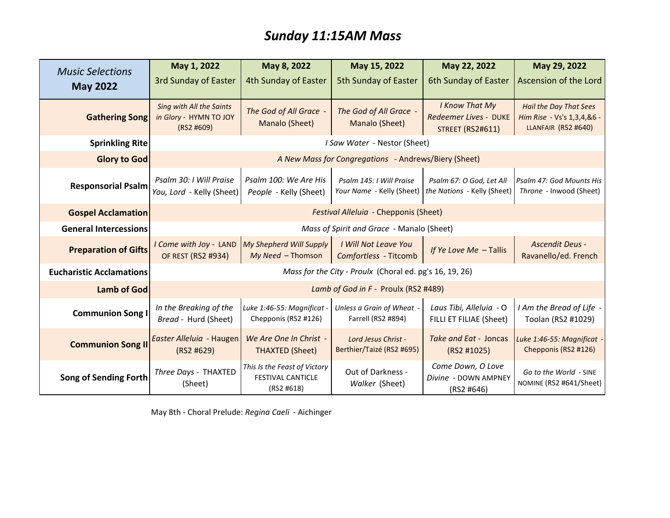## *Sunday 11:15AM Mass*

| <b>Music Selections</b>         | May 1, 2022                                                             | May 8, 2022                                                            | May 15, 2022                                          | May 22, 2022                                                       | May 29, 2022                                                                       |  |
|---------------------------------|-------------------------------------------------------------------------|------------------------------------------------------------------------|-------------------------------------------------------|--------------------------------------------------------------------|------------------------------------------------------------------------------------|--|
| <b>May 2022</b>                 | <b>3rd Sunday of Easter</b>                                             | 4th Sunday of Easter                                                   | 5th Sunday of Easter                                  | 6th Sunday of Easter                                               | Ascension of the Lord                                                              |  |
| <b>Gathering Song</b>           | <b>Sing with All the Saints</b><br>in Glory - HYMN TO JOY<br>(RS2 #609) | The God of All Grace -<br>Manalo (Sheet)                               | The God of All Grace -<br>Manalo (Sheet)              | I Know That My<br>Redeemer Lives - DUKE<br><b>STREET (RS2#611)</b> | <b>Hail the Day That Sees</b><br>Him Rise - Vs's 1,3,4,&6 -<br>LLANFAIR (RS2 #640) |  |
| <b>Sprinkling Rite</b>          | I Saw Water - Nestor (Sheet)                                            |                                                                        |                                                       |                                                                    |                                                                                    |  |
| Glory to God                    | A New Mass for Congregations - Andrews/Biery (Sheet)                    |                                                                        |                                                       |                                                                    |                                                                                    |  |
| <b>Responsorial Psalm</b>       | Psalm 30: I Will Praise<br>You, Lord - Kelly (Sheet)                    | Psalm 100: We Are His<br>People - Kelly (Sheet)                        | Psalm 145: I Will Praise<br>Your Name - Kelly (Sheet) | Psalm 67: O God, Let All<br>the Nations - Kelly (Sheet)            | Psalm 47: God Mounts His<br>Throne - Inwood (Sheet)                                |  |
| <b>Gospel Acclamation</b>       | Festival Alleluia - Chepponis (Sheet)                                   |                                                                        |                                                       |                                                                    |                                                                                    |  |
| <b>General Intercessions</b>    | Mass of Spirit and Grace - Manalo (Sheet)                               |                                                                        |                                                       |                                                                    |                                                                                    |  |
| <b>Preparation of Gifts</b>     | I Come with Joy - LAND<br>OF REST (RS2 #934)                            | My Shepherd Will Supply<br>My Need - Thomson                           | I Will Not Leave You<br>Comfortless - Titcomb         | If Ye Love Me - Tallis                                             | Ascendit Deus -<br>Ravanello/ed. French                                            |  |
| <b>Eucharistic Acclamations</b> | Mass for the City - Proulx (Choral ed. pg's 16, 19, 26)                 |                                                                        |                                                       |                                                                    |                                                                                    |  |
| Lamb of God                     | Lamb of God in F - Proulx (RS2 #489)                                    |                                                                        |                                                       |                                                                    |                                                                                    |  |
| <b>Communion Song I</b>         | In the Breaking of the<br>Bread - Hurd (Sheet)                          | Luke 1:46-55: Magnificat -<br>Chepponis (RS2 #126)                     | Unless a Grain of Wheat -<br>Farrell (RS2 #894)       | Laus Tibi, Alleluia - O<br>FILLI ET FILIAE (Sheet)                 | I Am the Bread of Life -<br>Toolan (RS2 #1029)                                     |  |
| <b>Communion Song II</b>        | Easter Alleluia - Haugen<br>(RS2 #629)                                  | We Are One In Christ -<br><b>THAXTED (Sheet)</b>                       | Lord Jesus Christ -<br>Berthier/Taizé (RS2 #695)      | Take and Eat - Joncas<br>(RS2 #1025)                               | Luke 1:46-55: Magnificat<br>Chepponis (RS2 #126)                                   |  |
| Song of Sending Forth           | Three Days - THAXTED<br>(Sheet)                                         | This Is the Feast of Victory<br><b>FESTIVAL CANTICLE</b><br>(RS2 #618) | Out of Darkness -<br>Walker (Sheet)                   | Come Down, O Love<br>Divine - DOWN AMPNEY<br>(RS2 #646)            | Go to the World - SINE<br>NOMINE (RS2 #641/Sheet)                                  |  |

May 8th - Choral Prelude: *Regina Caeli* - Aichinger